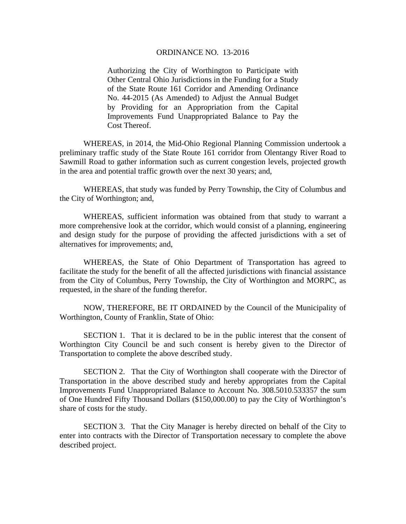## ORDINANCE NO. 13-2016

Authorizing the City of Worthington to Participate with Other Central Ohio Jurisdictions in the Funding for a Study of the State Route 161 Corridor and Amending Ordinance No. 44-2015 (As Amended) to Adjust the Annual Budget by Providing for an Appropriation from the Capital Improvements Fund Unappropriated Balance to Pay the Cost Thereof.

WHEREAS, in 2014, the Mid-Ohio Regional Planning Commission undertook a preliminary traffic study of the State Route 161 corridor from Olentangy River Road to Sawmill Road to gather information such as current congestion levels, projected growth in the area and potential traffic growth over the next 30 years; and,

WHEREAS, that study was funded by Perry Township, the City of Columbus and the City of Worthington; and,

WHEREAS, sufficient information was obtained from that study to warrant a more comprehensive look at the corridor, which would consist of a planning, engineering and design study for the purpose of providing the affected jurisdictions with a set of alternatives for improvements; and,

WHEREAS, the State of Ohio Department of Transportation has agreed to facilitate the study for the benefit of all the affected jurisdictions with financial assistance from the City of Columbus, Perry Township, the City of Worthington and MORPC, as requested, in the share of the funding therefor.

NOW, THEREFORE, BE IT ORDAINED by the Council of the Municipality of Worthington, County of Franklin, State of Ohio:

SECTION 1. That it is declared to be in the public interest that the consent of Worthington City Council be and such consent is hereby given to the Director of Transportation to complete the above described study.

 SECTION 2. That the City of Worthington shall cooperate with the Director of Transportation in the above described study and hereby appropriates from the Capital Improvements Fund Unappropriated Balance to Account No. 308.5010.533357 the sum of One Hundred Fifty Thousand Dollars (\$150,000.00) to pay the City of Worthington's share of costs for the study.

 SECTION 3. That the City Manager is hereby directed on behalf of the City to enter into contracts with the Director of Transportation necessary to complete the above described project.